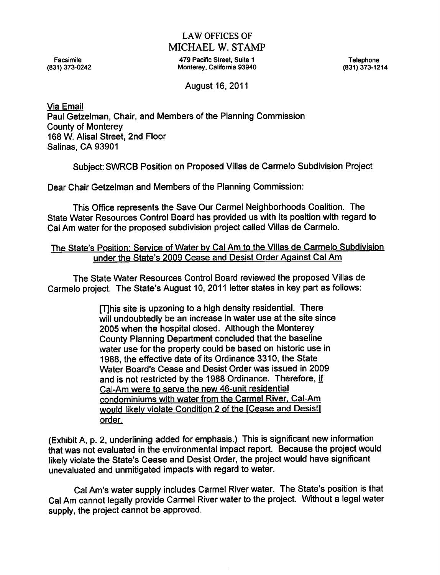# LAW OFFICES OF MICHAEL W. STAMP

Facsimile **1986 Facility 1986 Facture 1 Facture 1 Facture 1 Facture 1 Facture 1 Telephone** (831)373-0242 Monterey, California 93940 (831)373-1214

August 16, 2011

Via Email Paul Getzelman, Chair, and Members of the Planning Commission County of Monterey 168 W. Alisal Street, 2nd Floor Salinas, CA 93901

Subject: SWRCB Position on Proposed Villas de Carmelo Subdivision Project

Dear Chair Getzelman and Members of the Planning Commission:

This Office represents the Save Our Carmel Neighborhoods Coalition. The State Water Resources Control Board has provided us with its position with regard to Cal Am water for the proposed subdivision project called Villas de Carmelo.

# The State's Position: Service of Water bv Cal Am to the Villas de Carmelo Subdivision under the State's 2009 Cease and Desist Order Against Cal Am

The State Water Resources Control Board reviewed the proposed Villas de Carmelo project. The State's August 10, 2011 letter states in key part as follows:

> [T]his site is upzoning to a high density residential. There will undoubtedly be an increase in water use at the site since 2005 when the hospital closed. Although the Monterey County Planning Department concluded that the baseline water use for the property could be based on historic use in 1988, the effective date of its Ordinance 3310, the State Water Board's Cease and Desist Order was issued in 2009 and is not restricted by the 1988 Ordinance. Therefore, if Cal-Am were to serve the new 46-unit residential condominiums with water from the Carmel River. Cal-Am would likely violate Condition 2 of the [Cease and Desist] order.

(Exhibit A, p. 2, underlining added for emphasis.) This is significant new information that was not evaluated in the environmental impact report. Because the project would likely violate the State's Cease and Desist Order, the project would have significant unevaluated and unmitigated impacts with regard to water.

Cal Am's water supply includes Carmel River water. The State's position is that Cal Am cannot legally provide Carmel River water to the project. Without a legal water supply, the project cannot be approved.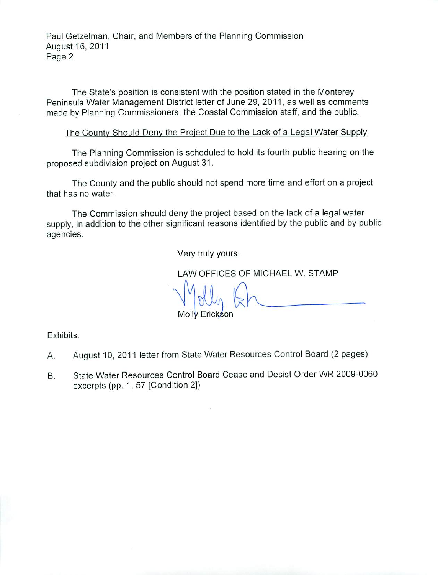Paul Getzelman, Chair, and Members of the Planning Commission August 16, 2011 Page 2

The State's position is consistent with the position stated in the Monterey Peninsula Water Management District letter of June 29, 2011, as well as comments made by Planning Commissioners, the Coastal Commission staff, and the public.

The County Should Deny the Project Due to the Lack of a Legal Water Supply

The Planning Commission is scheduled to hold its fourth public hearing on the proposed subdivision project on August 31.

The County and the public should not spend more time and effort on a project that has no water.

The Commission should deny the project based on the lack of a legal water supply, in addition to the other significant reasons identified by the public and by public agencies.

Very truly yours,

LAW OFFICES OF MICHAEL W. STAMP

Molly Erickson

Exhibits:

- A. August 10, 2011 letter from State Water Resources Control Board (2 pages)
- B. State Water Resources Control Board Cease and Desist Order WR 2009-0060 excerpts (pp. 1, 57 [Condition 2])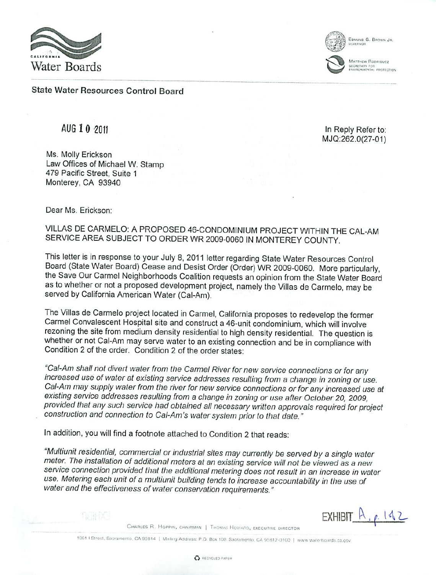

EDMUND G. BROWN JR

MATTHEW RODBIQUEZ

State Water Resources Control Board

Ms. Molly Erickson Law Offices of Michael W. Stamp 479 Pacific Street, Suite Monterey, CA 93940

AUG 1 0 2011 10 2011 MJQ:262.0(27-01)

**EXHIBIT.** A

 $1.112$ 

Dear Ms. Erickson:

VILLAS DE CARMELO: A PROPOSED 46-CONDOMINIUM PROJECT WITHIN THE CAL-AM SERVICE AREA SUBJECT TO ORDER WR 2009-0060 IN MONTEREY COUNTY.

This letter is in response to your July 8, 2011 letter regarding State Water Resources Control Board (State Water Board) Cease and Desist Order (Order) WR 2009-0060. More particularly, the Save Our Carmel Neighborhoods Coalition requests an opinion from the State Water Board as to whether or not a proposed development project, namely the Villas de Carmelo, may be served by California American Water (Cal-Am).

The Villas de Carmelo project located in Carmel, California proposes to redevelop the former Carmel Convalescent Hospital site and construct a 46-unit condominium, which will involve rezoning the site from medium density residential to high density residential. The question is whether or not Cal-Am may serve water to an existing connection and be in compliance with Condition 2 of the order. Condition 2 of the order states:

"Cal-Am shall not divert water from the Carmel River for new service connections or for any increased use of water at existing service addresses resulting from a change in zoning or use. Cat-Am may supply water from the river for new service connections or for any increased use at existing service addresses resulting from a change in zoning or use after October 20, 2009, provided that any such service had obtained ail necessary written approvals required for project construction and connection to Cai-Am's water system prior to that date."

In addition, you will find a footnote attached to Condition 2 that reads:

"Multiunit residential, commercial or industrial sites may currently be served by a single water meter. The installation of additional meters at an existing service will not be viewed as a new service connection provided that the additional metering does not result in an increase in water use. Metering each unit of a multiunit building tends to increase accountability in the use of water and the effectiveness of water conservation requirements."



1001 | Street, Sacramento, CA 95814 | Mailing Address: P.O. Box 100. Sacramento, CA 95812-0100 | www.waterboards.ca.gov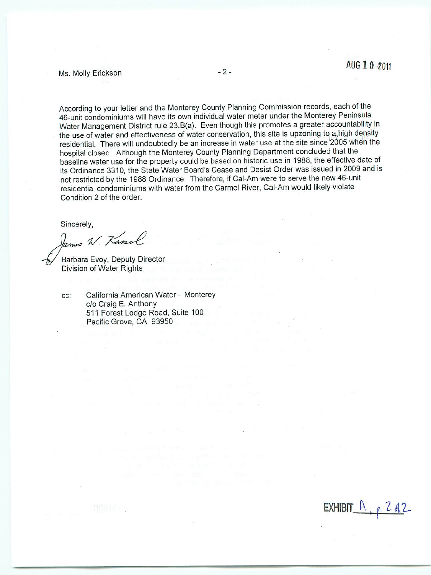# Ms- Molly Erickson \*■

According to your letter and the Monterey County Planning Commission records, each of the 46-unit condominiums will have its own individual water meter under the Monterey Peninsula Water Management District rule 23.B(a). Even though this promotes a greater accountability in the use of water and effectiveness of water conservation, this site is upzoning to a.high density residential. There will undoubtedly be an increase in water use at (he site since'2005 when the hospital closed. Although the Monterey County Planning Department concluded that the baseline water use for the property could be based on historic use in 1988, the effective date of its Ordinance 3310, the State Water Board's Cease and Desist Order was issued in 2009 and is not restricted by the 1988 Ordinance. Therefore, if Cal-Am were to serve the new 46-unit residential condominiums with water from the Carmel River, Cal-Am would likely violate Condition 2 of the order.

Sincerely,

James W. Kanel

Barbara Evoy, Deputy Director Division of Water Rights

cc: California American Water - Monterey c/o Craig E. Anthony 511 Forest Lodge Road, Suite 100 Pacific Grove, CA 93950

EXHIBIT IN  $0.$   $C_0$   $Z$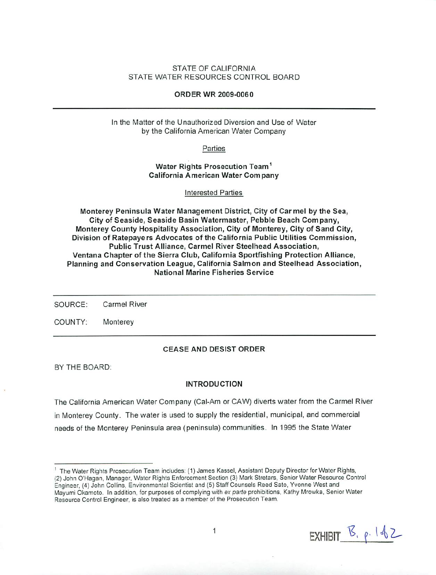## STATE OF CALIFORNIA STATE WATER RESOURCES CONTROL BOARD

## ORDER WR 2009-0060

In the Matter of the Unauthorized Diversion and Use of Water by the California American Water Company

Parties

Water Rights Prosecution Team<sup>1</sup> California American Water Com pany

Interested Parties

Monterey Peninsula Water Management District, City of Carmel by the Sea, City of Seaside, Seaside Basin Watermaster, Pebble Beach Company, Monterey County Hospitality Association, City of Monterey, City of Sand City, Division of Ratepayers Advocates of the California Public Utilities Commission, Public Trust Alliance, Carmel River Steelhead Association, Ventana Chapter of the Sierra Club, California Sportfishing Protection Alliance, Planning and Conservation League, California Salmon and Steelhead Association, National Marine Fisheries Service

SOURCE: Carmel River

COUNTY: Monterey

### CEASE AND DESIST ORDER

BY THE BOARD:

#### INTRODUCTION

The California American Water Company (Cal-Am or CAW) diverts water from the Carmel River in Monterey County. The water is used to supply the residential, municipal, and commercial needs of the Monterey Peninsula area (peninsula) communities. In 1995 the State Water

EXHIBIT  $\mathcal{B}_{1}$   $\rho$ .  $1482$ 

<sup>&</sup>lt;sup>1</sup> The Water Rights Prosecution Team includes: (1) James Kassel, Assistant Deputy Director for Water Rights, (2) John O'Hagan, Manager, Water Rights Enforcement Section (3) Mark Stretars, Senior Water Resource Control Engineer. (A) John Collins, Environmental Scientist and (5) Staff Counsels Reed Sato, Yvonne West and Mayumi Okamoto. In addition, for purposes of complying with ex parte prohibitions, Kathy Mrowka, Senior Water Resource Control Engineer, is also treated as a member of the Prosecution Team.